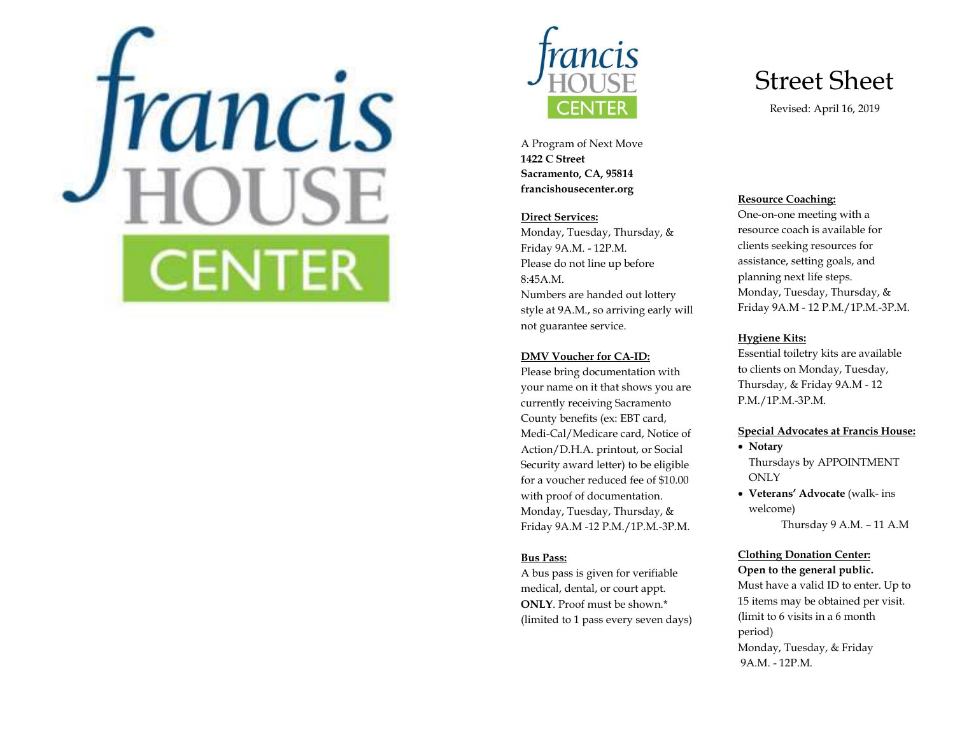



A Program of Next Move 1422 C Street Sacramento, CA, 95814 francishousecenter.org

## Direct Services:

Monday, Tuesday, Thursday, & Friday 9A.M. - 12P.M. Please do not line up before 8:45A.M. Numbers are handed out lottery style at 9A.M., so arriving early will not guarantee service.

### DMV Voucher for CA-ID:

Please bring documentation with your name on it that shows you are currently receiving Sacramento County benefits (ex: EBT card, Medi-Cal/Medicare card, Notice of Action/D.H.A. printout, or Social Security award letter) to be eligible for a voucher reduced fee of \$10.00 with proof of documentation. Monday, Tuesday, Thursday, & Friday 9A.M -12 P.M./1P.M.-3P.M.

## Bus Pass:

A bus pass is given for verifiable medical, dental, or court appt. ONLY. Proof must be shown.\* (limited to 1 pass every seven days)

## Street Sheet

Revised: April 16, 2019

## Resource Coaching:

One-on-one meeting with a resource coach is available for clients seeking resources for assistance, setting goals, and planning next life steps. Monday, Tuesday, Thursday, & Friday 9A.M - 12 P.M./1P.M.-3P.M.

## Hygiene Kits:

Essential toiletry kits are available to clients on Monday, Tuesday, Thursday, & Friday 9A.M - 12 P.M./1P.M.-3P.M.

#### Special Advocates at Francis House:

- Notary Thursdays by APPOINTMENT **ONLY**
- Veterans' Advocate (walk- ins welcome)

Thursday 9 A.M. – 11 A.M

## Clothing Donation Center: Open to the general public.

Must have a valid ID to enter. Up to 15 items may be obtained per visit. (limit to 6 visits in a 6 month period) Monday, Tuesday, & Friday 9A.M. - 12P.M.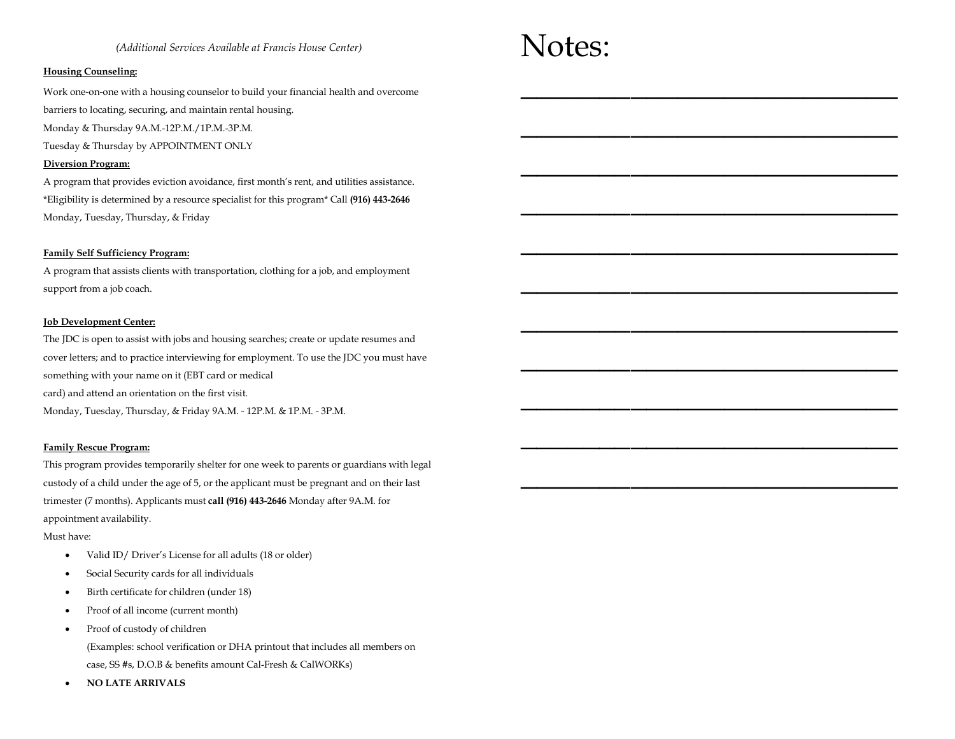#### (Additional Services Available at Francis House Center)

#### Housing Counseling:

Work one-on-one with a housing counselor to build your financial health and overcome

barriers to locating, securing, and maintain rental housing.

Monday & Thursday 9A.M.-12P.M./1P.M.-3P.M.

Tuesday & Thursday by APPOINTMENT ONLY

#### Diversion Program:

A program that provides eviction avoidance, first month's rent, and utilities assistance. \*Eligibility is determined by a resource specialist for this program\* Call (916) 443-2646 Monday, Tuesday, Thursday, & Friday

#### Family Self Sufficiency Program:

A program that assists clients with transportation, clothing for a job, and employment support from a job coach.

#### Job Development Center:

The JDC is open to assist with jobs and housing searches; create or update resumes and cover letters; and to practice interviewing for employment. To use the JDC you must have something with your name on it (EBT card or medical card) and attend an orientation on the first visit. Monday, Tuesday, Thursday, & Friday 9A.M. - 12P.M. & 1P.M. - 3P.M.

#### Family Rescue Program:

This program provides temporarily shelter for one week to parents or guardians with legal custody of a child under the age of 5, or the applicant must be pregnant and on their last trimester (7 months). Applicants must call (916) 443-2646 Monday after 9A.M. for appointment availability.

#### Must have:

- Valid ID/ Driver's License for all adults (18 or older)
- Social Security cards for all individuals
- Birth certificate for children (under 18)
- Proof of all income (current month)
- Proof of custody of children

(Examples: school verification or DHA printout that includes all members on case, SS #s, D.O.B & benefits amount Cal-Fresh & CalWORKs)

NO LATE ARRIVALS

# Notes:

 $\mathcal{L}=\mathcal{L}=\mathcal{L}=\mathcal{L}=\mathcal{L}=\mathcal{L}=\mathcal{L}=\mathcal{L}=\mathcal{L}=\mathcal{L}=\mathcal{L}=\mathcal{L}=\mathcal{L}=\mathcal{L}=\mathcal{L}=\mathcal{L}=\mathcal{L}=\mathcal{L}=\mathcal{L}=\mathcal{L}=\mathcal{L}=\mathcal{L}=\mathcal{L}=\mathcal{L}=\mathcal{L}=\mathcal{L}=\mathcal{L}=\mathcal{L}=\mathcal{L}=\mathcal{L}=\mathcal{L}=\mathcal{L}=\mathcal{L}=\mathcal{L}=\mathcal{L}=\mathcal{L}=\mathcal{$ 

 $\mathcal{L}=\mathcal{L}=\mathcal{L}=\mathcal{L}=\mathcal{L}=\mathcal{L}=\mathcal{L}=\mathcal{L}=\mathcal{L}=\mathcal{L}=\mathcal{L}=\mathcal{L}=\mathcal{L}=\mathcal{L}=\mathcal{L}=\mathcal{L}=\mathcal{L}=\mathcal{L}=\mathcal{L}=\mathcal{L}=\mathcal{L}=\mathcal{L}=\mathcal{L}=\mathcal{L}=\mathcal{L}=\mathcal{L}=\mathcal{L}=\mathcal{L}=\mathcal{L}=\mathcal{L}=\mathcal{L}=\mathcal{L}=\mathcal{L}=\mathcal{L}=\mathcal{L}=\mathcal{L}=\mathcal{$ 

 $\frac{1}{2}$  ,  $\frac{1}{2}$  ,  $\frac{1}{2}$  ,  $\frac{1}{2}$  ,  $\frac{1}{2}$  ,  $\frac{1}{2}$  ,  $\frac{1}{2}$  ,  $\frac{1}{2}$  ,  $\frac{1}{2}$  ,  $\frac{1}{2}$  ,  $\frac{1}{2}$  ,  $\frac{1}{2}$  ,  $\frac{1}{2}$  ,  $\frac{1}{2}$  ,  $\frac{1}{2}$  ,  $\frac{1}{2}$  ,  $\frac{1}{2}$  ,  $\frac{1}{2}$  ,  $\frac{1$ 

 $\frac{1}{2}$  ,  $\frac{1}{2}$  ,  $\frac{1}{2}$  ,  $\frac{1}{2}$  ,  $\frac{1}{2}$  ,  $\frac{1}{2}$  ,  $\frac{1}{2}$  ,  $\frac{1}{2}$  ,  $\frac{1}{2}$  ,  $\frac{1}{2}$  ,  $\frac{1}{2}$  ,  $\frac{1}{2}$  ,  $\frac{1}{2}$  ,  $\frac{1}{2}$  ,  $\frac{1}{2}$  ,  $\frac{1}{2}$  ,  $\frac{1}{2}$  ,  $\frac{1}{2}$  ,  $\frac{1$ 

 $\frac{1}{2}$  ,  $\frac{1}{2}$  ,  $\frac{1}{2}$  ,  $\frac{1}{2}$  ,  $\frac{1}{2}$  ,  $\frac{1}{2}$  ,  $\frac{1}{2}$  ,  $\frac{1}{2}$  ,  $\frac{1}{2}$  ,  $\frac{1}{2}$  ,  $\frac{1}{2}$  ,  $\frac{1}{2}$  ,  $\frac{1}{2}$  ,  $\frac{1}{2}$  ,  $\frac{1}{2}$  ,  $\frac{1}{2}$  ,  $\frac{1}{2}$  ,  $\frac{1}{2}$  ,  $\frac{1$ 

 $\frac{1}{2}$  ,  $\frac{1}{2}$  ,  $\frac{1}{2}$  ,  $\frac{1}{2}$  ,  $\frac{1}{2}$  ,  $\frac{1}{2}$  ,  $\frac{1}{2}$  ,  $\frac{1}{2}$  ,  $\frac{1}{2}$  ,  $\frac{1}{2}$  ,  $\frac{1}{2}$  ,  $\frac{1}{2}$  ,  $\frac{1}{2}$  ,  $\frac{1}{2}$  ,  $\frac{1}{2}$  ,  $\frac{1}{2}$  ,  $\frac{1}{2}$  ,  $\frac{1}{2}$  ,  $\frac{1$ 

 $\mathcal{L}=\mathcal{L}=\mathcal{L}=\mathcal{L}=\mathcal{L}=\mathcal{L}=\mathcal{L}=\mathcal{L}=\mathcal{L}=\mathcal{L}=\mathcal{L}=\mathcal{L}=\mathcal{L}=\mathcal{L}=\mathcal{L}=\mathcal{L}=\mathcal{L}=\mathcal{L}=\mathcal{L}=\mathcal{L}=\mathcal{L}=\mathcal{L}=\mathcal{L}=\mathcal{L}=\mathcal{L}=\mathcal{L}=\mathcal{L}=\mathcal{L}=\mathcal{L}=\mathcal{L}=\mathcal{L}=\mathcal{L}=\mathcal{L}=\mathcal{L}=\mathcal{L}=\mathcal{L}=\mathcal{$ 

 $\mathcal{L}=\mathcal{L}=\mathcal{L}=\mathcal{L}=\mathcal{L}=\mathcal{L}=\mathcal{L}=\mathcal{L}=\mathcal{L}=\mathcal{L}=\mathcal{L}=\mathcal{L}=\mathcal{L}=\mathcal{L}=\mathcal{L}=\mathcal{L}=\mathcal{L}=\mathcal{L}=\mathcal{L}=\mathcal{L}=\mathcal{L}=\mathcal{L}=\mathcal{L}=\mathcal{L}=\mathcal{L}=\mathcal{L}=\mathcal{L}=\mathcal{L}=\mathcal{L}=\mathcal{L}=\mathcal{L}=\mathcal{L}=\mathcal{L}=\mathcal{L}=\mathcal{L}=\mathcal{L}=\mathcal{$ 

 $\mathcal{L}=\mathcal{L}=\mathcal{L}=\mathcal{L}=\mathcal{L}=\mathcal{L}=\mathcal{L}=\mathcal{L}=\mathcal{L}=\mathcal{L}=\mathcal{L}=\mathcal{L}=\mathcal{L}=\mathcal{L}=\mathcal{L}=\mathcal{L}=\mathcal{L}=\mathcal{L}=\mathcal{L}=\mathcal{L}=\mathcal{L}=\mathcal{L}=\mathcal{L}=\mathcal{L}=\mathcal{L}=\mathcal{L}=\mathcal{L}=\mathcal{L}=\mathcal{L}=\mathcal{L}=\mathcal{L}=\mathcal{L}=\mathcal{L}=\mathcal{L}=\mathcal{L}=\mathcal{L}=\mathcal{$ 

 $\frac{1}{2}$  ,  $\frac{1}{2}$  ,  $\frac{1}{2}$  ,  $\frac{1}{2}$  ,  $\frac{1}{2}$  ,  $\frac{1}{2}$  ,  $\frac{1}{2}$  ,  $\frac{1}{2}$  ,  $\frac{1}{2}$  ,  $\frac{1}{2}$  ,  $\frac{1}{2}$  ,  $\frac{1}{2}$  ,  $\frac{1}{2}$  ,  $\frac{1}{2}$  ,  $\frac{1}{2}$  ,  $\frac{1}{2}$  ,  $\frac{1}{2}$  ,  $\frac{1}{2}$  ,  $\frac{1$ 

 $\mathcal{L}_\text{max}$  and  $\mathcal{L}_\text{max}$  and  $\mathcal{L}_\text{max}$  and  $\mathcal{L}_\text{max}$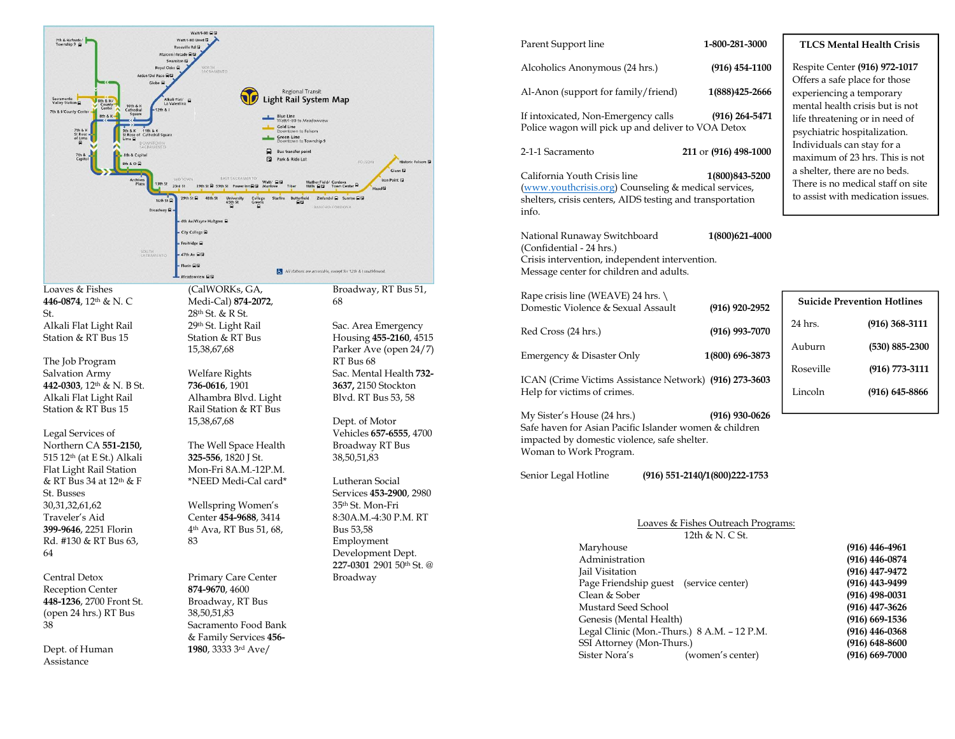

| Parent Support line                                                                                                                                             | 1-800-281-3000                                        |                            | <b>TLCS Mental Health Crisis</b>                                                                     |
|-----------------------------------------------------------------------------------------------------------------------------------------------------------------|-------------------------------------------------------|----------------------------|------------------------------------------------------------------------------------------------------|
| Alcoholics Anonymous (24 hrs.)                                                                                                                                  | $(916)$ 454-1100                                      |                            | Respite Center (916) 972-1017                                                                        |
| Al-Anon (support for family/friend)                                                                                                                             | 1(888) 425-2666                                       | experiencing a temporary   | Offers a safe place for those                                                                        |
| If intoxicated, Non-Emergency calls<br>Police wagon will pick up and deliver to VOA Detox                                                                       | $(916)$ 264-5471                                      |                            | mental health crisis but is not<br>life threatening or in need of<br>psychiatric hospitalization.    |
| 2-1-1 Sacramento                                                                                                                                                | 211 or (916) 498-1000                                 | Individuals can stay for a | maximum of 23 hrs. This is no                                                                        |
| California Youth Crisis line<br>(www.youthcrisis.org) Counseling & medical services,<br>shelters, crisis centers, AIDS testing and transportation<br>info.      | 1(800) 843-5200                                       |                            | a shelter, there are no beds.<br>There is no medical staff on sit<br>to assist with medication issue |
| National Runaway Switchboard<br>(Confidential - 24 hrs.)<br>Crisis intervention, independent intervention.<br>Message center for children and adults.           | 1(800)621-4000                                        |                            |                                                                                                      |
| Rape crisis line (WEAVE) 24 hrs.<br>Domestic Violence & Sexual Assault                                                                                          | $(916)$ 920-2952                                      |                            | <b>Suicide Prevention Hotlines</b>                                                                   |
| Red Cross (24 hrs.)                                                                                                                                             | $(916)$ 993-7070                                      | 24 hrs.                    | (916) 368-311                                                                                        |
| Emergency & Disaster Only                                                                                                                                       | 1(800) 696-3873                                       | Auburn                     | $(530) 885 - 230$                                                                                    |
| ICAN (Crime Victims Assistance Network) (916) 273-3603                                                                                                          |                                                       | Roseville                  | $(916) 773 - 311$                                                                                    |
| Help for victims of crimes.                                                                                                                                     |                                                       | Lincoln                    | $(916)$ 645-886                                                                                      |
| My Sister's House (24 hrs.)<br>Safe haven for Asian Pacific Islander women & children<br>impacted by domestic violence, safe shelter.<br>Woman to Work Program. | $(916)$ 930-0626                                      |                            |                                                                                                      |
| Senior Legal Hotline                                                                                                                                            | (916) 551-2140/1(800) 222-1753                        |                            |                                                                                                      |
| Marvhouse                                                                                                                                                       | Loaves & Fishes Outreach Programs:<br>12th & N. C St. |                            | (916) 446-4961                                                                                       |
|                                                                                                                                                                 |                                                       |                            |                                                                                                      |

| Maryhouse                                   | $(916)$ 446-4961   |
|---------------------------------------------|--------------------|
| Administration                              | $(916)$ 446-0874   |
| Jail Visitation                             | $(916)$ 447-9472   |
| Page Friendship guest (service center)      | $(916)$ 443-9499   |
| Clean & Sober                               | $(916)$ 498-0031   |
| Mustard Seed School                         | $(916)$ 447-3626   |
| Genesis (Mental Health)                     | $(916)$ 669-1536   |
| Legal Clinic (Mon.-Thurs.) 8 A.M. - 12 P.M. | $(916)$ 446-0368   |
| SSI Attorney (Mon-Thurs.)                   | $(916) 648 - 8600$ |
| (women's center)<br>Sister Nora's           | $(916)$ 669-7000   |
|                                             |                    |

| <b>Suicide Prevention Hotlines</b> |  |  |  |
|------------------------------------|--|--|--|
| $(916)$ 368-3111                   |  |  |  |
| $(530) 885 - 2300$                 |  |  |  |
| $(916) 773 - 3111$                 |  |  |  |
| $(916)$ 645-8866                   |  |  |  |
|                                    |  |  |  |

place for those g a temporary th crisis but is not ling or in need of hospitalization. can stay for a of 23 hrs. This is not ere are no beds. medical staff on site th medication issues.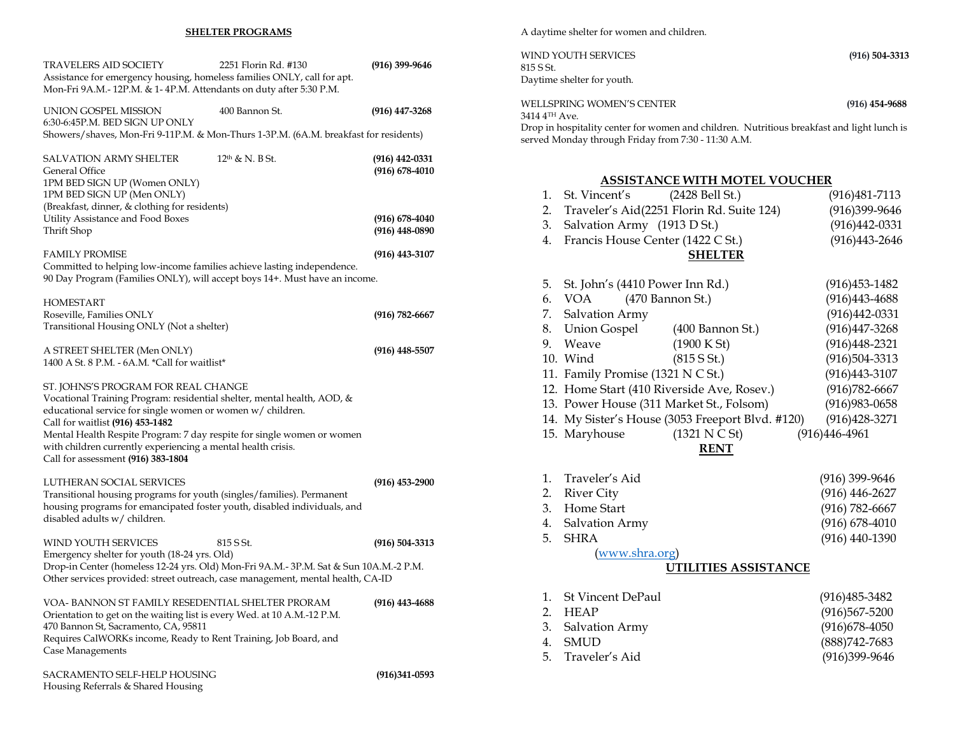#### SHELTER PROGRAMS

| <b>TRAVELERS AID SOCIETY</b><br>Assistance for emergency housing, homeless families ONLY, call for apt.<br>Mon-Fri 9A.M.-12P.M. & 1-4P.M. Attendants on duty after 5:30 P.M.                                                                                                                                                                                                                     | 2251 Florin Rd. #130        | $(916)$ 399-9646                                                         |
|--------------------------------------------------------------------------------------------------------------------------------------------------------------------------------------------------------------------------------------------------------------------------------------------------------------------------------------------------------------------------------------------------|-----------------------------|--------------------------------------------------------------------------|
| UNION GOSPEL MISSION<br>6:30-6:45P.M. BED SIGN UP ONLY<br>Showers/shaves, Mon-Fri 9-11P.M. & Mon-Thurs 1-3P.M. (6A.M. breakfast for residents)                                                                                                                                                                                                                                                   | 400 Bannon St.              | $(916)$ 447-3268                                                         |
| <b>SALVATION ARMY SHELTER</b><br>General Office<br>1PM BED SIGN UP (Women ONLY)<br>1PM BED SIGN UP (Men ONLY)<br>(Breakfast, dinner, & clothing for residents)<br>Utility Assistance and Food Boxes<br>Thrift Shop                                                                                                                                                                               | 12 <sup>th</sup> & N. B St. | $(916)$ 442-0331<br>$(916)$ 678-4010<br>(916) 678-4040<br>(916) 448-0890 |
| <b>FAMILY PROMISE</b><br>Committed to helping low-income families achieve lasting independence.<br>90 Day Program (Families ONLY), will accept boys 14+. Must have an income.                                                                                                                                                                                                                    |                             | $(916)$ 443-3107                                                         |
| <b>HOMESTART</b><br>Roseville, Families ONLY<br>Transitional Housing ONLY (Not a shelter)                                                                                                                                                                                                                                                                                                        |                             | $(916) 782 - 6667$                                                       |
| A STREET SHELTER (Men ONLY)<br>1400 A St. 8 P.M. - 6A.M. *Call for waitlist*                                                                                                                                                                                                                                                                                                                     |                             | (916) 448-5507                                                           |
| ST. JOHNS'S PROGRAM FOR REAL CHANGE<br>Vocational Training Program: residential shelter, mental health, AOD, &<br>educational service for single women or women w/ children.<br>Call for waitlist (916) 453-1482<br>Mental Health Respite Program: 7 day respite for single women or women<br>with children currently experiencing a mental health crisis.<br>Call for assessment (916) 383-1804 |                             |                                                                          |
| LUTHERAN SOCIAL SERVICES<br>Transitional housing programs for youth (singles/families). Permanent<br>housing programs for emancipated foster youth, disabled individuals, and<br>disabled adults w/ children.                                                                                                                                                                                    |                             | $(916)$ 453-2900                                                         |
| WIND YOUTH SERVICES<br>Emergency shelter for youth (18-24 yrs. Old)<br>Drop-in Center (homeless 12-24 yrs. Old) Mon-Fri 9A.M.- 3P.M. Sat & Sun 10A.M.-2 P.M.<br>Other services provided: street outreach, case management, mental health, CA-ID                                                                                                                                                  | 815 S St.                   | $(916) 504 - 3313$                                                       |
| VOA- BANNON ST FAMILY RESEDENTIAL SHELTER PRORAM<br>Orientation to get on the waiting list is every Wed. at 10 A.M.-12 P.M.<br>470 Bannon St, Sacramento, CA, 95811<br>Requires CalWORKs income, Ready to Rent Training, Job Board, and<br>Case Managements                                                                                                                                      |                             | (916) 443-4688                                                           |
| SACRAMENTO SELF-HELP HOUSING                                                                                                                                                                                                                                                                                                                                                                     |                             | $(916)341-0593$                                                          |

Housing Referrals & Shared Housing

A daytime shelter for women and children.

| WIND YOUTH SERVICES<br>815 S St. | $(916)$ 504-3313 |
|----------------------------------|------------------|
| Daytime shelter for youth.       |                  |
| WELLSPRING WOMEN'S CENTER        | $(916)$ 454-9688 |

3414 4TH Ave. Drop in hospitality center for women and children. Nutritious breakfast and light lunch is served Monday through Friday from 7:30 - 11:30 A.M.

## ASSISTANCE WITH MOTEL VOUCHER

| 1.       | St. Vincent's                              | (2428 Bell St.)                                  | $(916)481 - 7113$               |
|----------|--------------------------------------------|--------------------------------------------------|---------------------------------|
| 2.       |                                            | Traveler's Aid(2251 Florin Rd. Suite 124)        | (916)399-9646                   |
| 3.       | Salvation Army (1913 D St.)                |                                                  | $(916)442-0331$                 |
| 4.       | Francis House Center (1422 C St.)          |                                                  | $(916)443 - 2646$               |
|          |                                            | <b>SHELTER</b>                                   |                                 |
|          |                                            |                                                  |                                 |
| 5.       | St. John's (4410 Power Inn Rd.)            |                                                  | $(916)453 - 1482$               |
| 6.       | (470 Bannon St.)<br><b>VOA</b>             |                                                  | $(916)443 - 4688$               |
| 7.       | Salvation Army                             |                                                  | $(916)442-0331$                 |
| 8.       | <b>Union Gospel</b>                        | (400 Bannon St.)                                 | $(916)447 - 3268$               |
| 9.       | Weave                                      | (1900 K St)                                      | $(916)448 - 2321$               |
|          | 10. Wind                                   | (815 S St.)                                      | $(916)504-3313$                 |
|          | 11. Family Promise (1321 N C St.)          |                                                  | $(916)443 - 3107$               |
|          | 12. Home Start (410 Riverside Ave, Rosev.) |                                                  | $(916)782 - 6667$               |
|          | 13. Power House (311 Market St., Folsom)   |                                                  | $(916)983 - 0658$               |
|          |                                            | 14. My Sister's House (3053 Freeport Blvd. #120) | $(916)428 - 3271$               |
|          |                                            |                                                  |                                 |
|          | 15. Maryhouse                              | (1321 N C St)                                    | $(916)446 - 4961$               |
|          |                                            | <b>RENT</b>                                      |                                 |
|          |                                            |                                                  |                                 |
| 1.       | Traveler's Aid                             |                                                  | (916) 399-9646                  |
| 2.       | <b>River City</b>                          |                                                  | $(916)$ 446-2627                |
| 3.       | Home Start                                 |                                                  | $(916) 782 - 6667$              |
| 4.       | Salvation Army                             |                                                  | $(916) 678 - 4010$              |
| 5.       | <b>SHRA</b>                                |                                                  | $(916)$ 440-1390                |
|          | (www.shra.org)                             | <b>UTILITIES ASSISTANCE</b>                      |                                 |
|          |                                            |                                                  |                                 |
| 1.       | <b>St Vincent DePaul</b>                   |                                                  | $(916)485 - 3482$               |
| 2.       | <b>HEAP</b>                                |                                                  | $(916)567 - 5200$               |
| 3.       | Salvation Army                             |                                                  | $(916)678-4050$                 |
| 4.<br>5. | <b>SMUD</b><br>Traveler's Aid              |                                                  | (888) 742-7683<br>(916)399-9646 |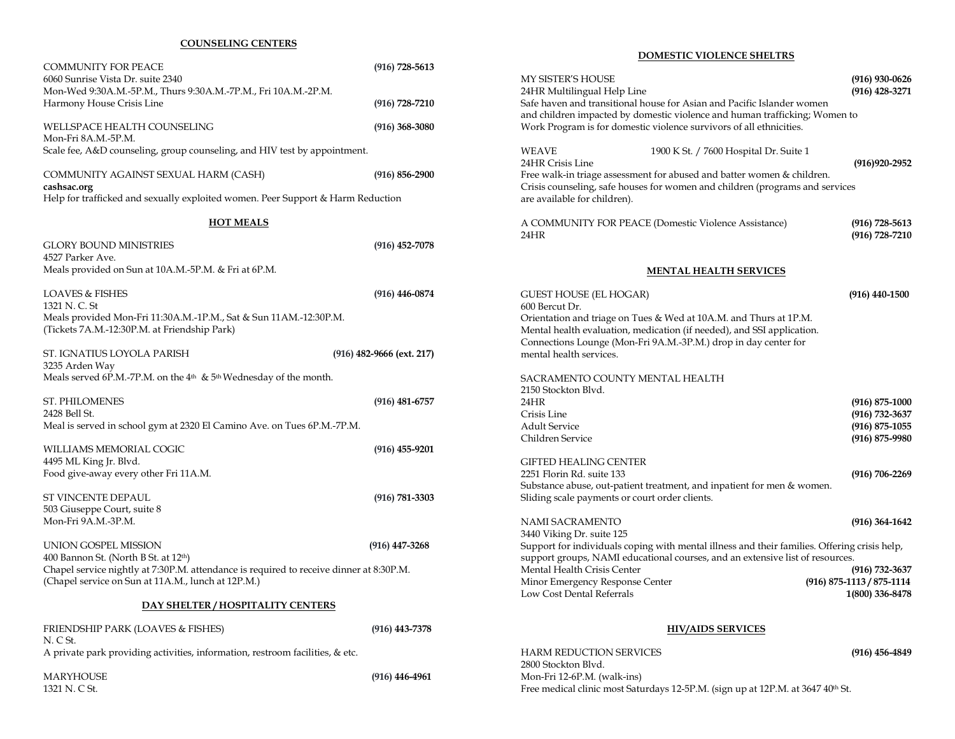## COUNSELING CENTERS

|                                                                                                                                               |                             | <b>DUMESTIC VIULENCE SHELTKS</b>                                                |                  |
|-----------------------------------------------------------------------------------------------------------------------------------------------|-----------------------------|---------------------------------------------------------------------------------|------------------|
| <b>COMMUNITY FOR PEACE</b><br>6060 Sunrise Vista Dr. suite 2340                                                                               | $(916) 728 - 5613$          | MY SISTER'S HOUSE                                                               |                  |
| Mon-Wed 9:30A.M.-5P.M., Thurs 9:30A.M.-7P.M., Fri 10A.M.-2P.M.                                                                                |                             | 24HR Multilingual Help Line                                                     |                  |
| Harmony House Crisis Line                                                                                                                     | $(916) 728 - 7210$          | Safe haven and transitional house for Asian and Pacific Islander women          |                  |
|                                                                                                                                               |                             | and children impacted by domestic violence and human trafficking; Women to      |                  |
| WELLSPACE HEALTH COUNSELING                                                                                                                   | $(916)$ 368-3080            | Work Program is for domestic violence survivors of all ethnicities.             |                  |
| Mon-Fri 8A.M.-5P.M.                                                                                                                           |                             |                                                                                 |                  |
| Scale fee, A&D counseling, group counseling, and HIV test by appointment.                                                                     |                             | <b>WEAVE</b><br>1900 K St. / 7600 Hospital Dr. Suite 1                          |                  |
|                                                                                                                                               |                             | 24HR Crisis Line                                                                |                  |
| COMMUNITY AGAINST SEXUAL HARM (CASH)                                                                                                          | $(916) 856 - 2900$          | Free walk-in triage assessment for abused and batter women & children.          |                  |
| cashsac.org                                                                                                                                   |                             | Crisis counseling, safe houses for women and children (programs and services    |                  |
| Help for trafficked and sexually exploited women. Peer Support & Harm Reduction                                                               |                             | are available for children).                                                    |                  |
| <b>HOT MEALS</b>                                                                                                                              |                             | A COMMUNITY FOR PEACE (Domestic Violence Assistance)                            |                  |
|                                                                                                                                               |                             | 24HR                                                                            |                  |
| <b>GLORY BOUND MINISTRIES</b>                                                                                                                 | $(916)$ 452-7078            |                                                                                 |                  |
| 4527 Parker Ave.                                                                                                                              |                             |                                                                                 |                  |
| Meals provided on Sun at 10A.M.-5P.M. & Fri at 6P.M.                                                                                          |                             | MENTAL HEALTH SERVICES                                                          |                  |
| <b>LOAVES &amp; FISHES</b>                                                                                                                    |                             |                                                                                 |                  |
| 1321 N. C. St                                                                                                                                 | $(916)$ 446-0874            | <b>GUEST HOUSE (EL HOGAR)</b><br>600 Bercut Dr.                                 |                  |
| Meals provided Mon-Fri 11:30A.M.-1P.M., Sat & Sun 11AM.-12:30P.M.                                                                             |                             | Orientation and triage on Tues & Wed at 10A.M. and Thurs at 1P.M.               |                  |
| (Tickets 7A.M.-12:30P.M. at Friendship Park)                                                                                                  |                             | Mental health evaluation, medication (if needed), and SSI application.          |                  |
|                                                                                                                                               |                             | Connections Lounge (Mon-Fri 9A.M.-3P.M.) drop in day center for                 |                  |
| ST. IGNATIUS LOYOLA PARISH                                                                                                                    | $(916)$ 482-9666 (ext. 217) | mental health services.                                                         |                  |
| 3235 Arden Way                                                                                                                                |                             |                                                                                 |                  |
| Meals served 6P.M.-7P.M. on the 4 <sup>th</sup> & 5 <sup>th</sup> Wednesday of the month.                                                     |                             | SACRAMENTO COUNTY MENTAL HEALTH                                                 |                  |
|                                                                                                                                               |                             | 2150 Stockton Blvd.                                                             |                  |
| ST. PHILOMENES                                                                                                                                | $(916)$ 481-6757            | 24HR                                                                            |                  |
| 2428 Bell St.                                                                                                                                 |                             | Crisis Line                                                                     |                  |
| Meal is served in school gym at 2320 El Camino Ave. on Tues 6P.M.-7P.M.                                                                       |                             | <b>Adult Service</b>                                                            |                  |
| WILLIAMS MEMORIAL COGIC                                                                                                                       | $(916)$ 455-9201            | Children Service                                                                |                  |
| 4495 ML King Jr. Blvd.                                                                                                                        |                             | <b>GIFTED HEALING CENTER</b>                                                    |                  |
| Food give-away every other Fri 11A.M.                                                                                                         |                             | 2251 Florin Rd. suite 133                                                       |                  |
|                                                                                                                                               |                             | Substance abuse, out-patient treatment, and inpatient for men & women.          |                  |
| ST VINCENTE DEPAUL                                                                                                                            | $(916) 781 - 3303$          | Sliding scale payments or court order clients.                                  |                  |
| 503 Giuseppe Court, suite 8                                                                                                                   |                             |                                                                                 |                  |
| Mon-Fri 9A.M.-3P.M.                                                                                                                           |                             | NAMI SACRAMENTO                                                                 |                  |
|                                                                                                                                               |                             | 3440 Viking Dr. suite 125                                                       |                  |
| UNION GOSPEL MISSION                                                                                                                          | $(916)$ 447-3268            | Support for individuals coping with mental illness and their families. Offering |                  |
| 400 Bannon St. (North B St. at 12 <sup>th</sup> )                                                                                             |                             | support groups, NAMI educational courses, and an extensive list of resources.   |                  |
| Chapel service nightly at 7:30P.M. attendance is required to receive dinner at 8:30P.M.<br>(Chapel service on Sun at 11A.M., lunch at 12P.M.) |                             | Mental Health Crisis Center<br>Minor Emergency Response Center                  | $(916) 875 - 11$ |
|                                                                                                                                               |                             | Low Cost Dental Referrals                                                       | 10               |
| DAY SHELTER / HOSPITALITY CENTERS                                                                                                             |                             |                                                                                 |                  |
|                                                                                                                                               |                             |                                                                                 |                  |
| FRIENDSHIP PARK (LOAVES & FISHES)                                                                                                             | $(916)$ 443-7378            | <b>HIV/AIDS SERVICES</b>                                                        |                  |
| N. C St.                                                                                                                                      |                             |                                                                                 |                  |
| A private park providing activities, information, restroom facilities, & etc.                                                                 |                             | <b>HARM REDUCTION SERVICES</b>                                                  |                  |
| <b>MARYHOUSE</b>                                                                                                                              | $(916)$ 446-4961            | 2800 Stockton Blvd.<br>Mon-Fri 12-6P.M. (walk-ins)                              |                  |
| 1321 N. C St.                                                                                                                                 |                             | Free medical clinic most Saturdays 12-5P.M. (sign up at 12P.M. at 3647 40th St. |                  |
|                                                                                                                                               |                             |                                                                                 |                  |

## DOMESTIC VIOLENCE SHELTRS

| MY SISTER'S HOUSE<br>24HR Multilingual Help Line<br>Safe haven and transitional house for Asian and Pacific Islander women                                                                                                                |                                                                                                                                                                               | $(916)$ 930-0626<br>$(916)$ 428-3271     |  |  |
|-------------------------------------------------------------------------------------------------------------------------------------------------------------------------------------------------------------------------------------------|-------------------------------------------------------------------------------------------------------------------------------------------------------------------------------|------------------------------------------|--|--|
| Work Program is for domestic violence survivors of all ethnicities.                                                                                                                                                                       | and children impacted by domestic violence and human trafficking; Women to                                                                                                    |                                          |  |  |
| WEAVE<br>24HR Crisis Line<br>Free walk-in triage assessment for abused and batter women & children.<br>are available for children).                                                                                                       | 1900 K St. / 7600 Hospital Dr. Suite 1<br>Crisis counseling, safe houses for women and children (programs and services                                                        | $(916)920 - 2952$                        |  |  |
| A COMMUNITY FOR PEACE (Domestic Violence Assistance)<br>24HR                                                                                                                                                                              |                                                                                                                                                                               | $(916) 728 - 5613$<br>$(916) 728 - 7210$ |  |  |
|                                                                                                                                                                                                                                           | <b>MENTAL HEALTH SERVICES</b>                                                                                                                                                 |                                          |  |  |
| GUEST HOUSE (EL HOGAR)<br>600 Bercut Dr.                                                                                                                                                                                                  |                                                                                                                                                                               | $(916)$ 440-1500                         |  |  |
| Orientation and triage on Tues & Wed at 10A.M. and Thurs at 1P.M.<br>Mental health evaluation, medication (if needed), and SSI application.<br>Connections Lounge (Mon-Fri 9A.M.-3P.M.) drop in day center for<br>mental health services. |                                                                                                                                                                               |                                          |  |  |
| SACRAMENTO COUNTY MENTAL HEALTH<br>2150 Stockton Blvd.                                                                                                                                                                                    |                                                                                                                                                                               |                                          |  |  |
| 24HR                                                                                                                                                                                                                                      |                                                                                                                                                                               | $(916) 875 - 1000$                       |  |  |
| Crisis Line<br>Adult Service                                                                                                                                                                                                              |                                                                                                                                                                               | $(916) 732 - 3637$<br>$(916) 875 - 1055$ |  |  |
| Children Service                                                                                                                                                                                                                          |                                                                                                                                                                               | $(916) 875 - 9980$                       |  |  |
| GIFTED HEALING CENTER<br>2251 Florin Rd. suite 133<br>Substance abuse, out-patient treatment, and inpatient for men & women.<br>Sliding scale payments or court order clients.                                                            |                                                                                                                                                                               | $(916) 706 - 2269$                       |  |  |
| NAMI SACRAMENTO<br>3440 Viking Dr. suite 125                                                                                                                                                                                              |                                                                                                                                                                               | $(916) 364 - 1642$                       |  |  |
|                                                                                                                                                                                                                                           | Support for individuals coping with mental illness and their families. Offering crisis help,<br>support groups, NAMI educational courses, and an extensive list of resources. |                                          |  |  |
| Mental Health Crisis Center                                                                                                                                                                                                               |                                                                                                                                                                               | $(916) 732 - 3637$                       |  |  |
| Minor Emergency Response Center<br>Low Cost Dental Referrals                                                                                                                                                                              | (916) 875-1113 / 875-1114                                                                                                                                                     | 1(800) 336-8478                          |  |  |
| <b>HIV/AIDS SERVICES</b>                                                                                                                                                                                                                  |                                                                                                                                                                               |                                          |  |  |
| HARM REDUCTION SERVICES<br>2800 Stockton Blvd.                                                                                                                                                                                            |                                                                                                                                                                               | $(916)$ 456-4849                         |  |  |